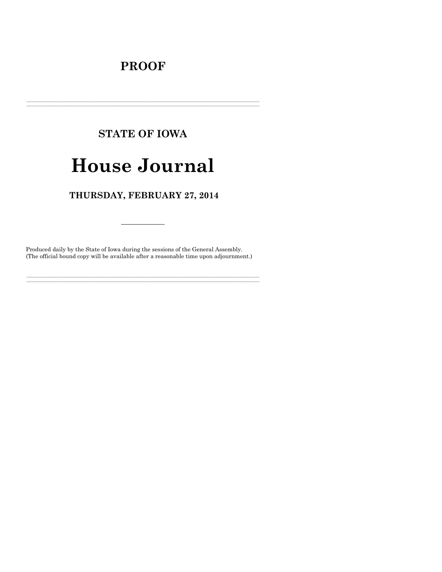# **PROOF**

# **STATE OF IOWA**

# **House Journal**

# THURSDAY, FEBRUARY 27, 2014

Produced daily by the State of Iowa during the sessions of the General Assembly. (The official bound copy will be available after a reasonable time upon adjournment.)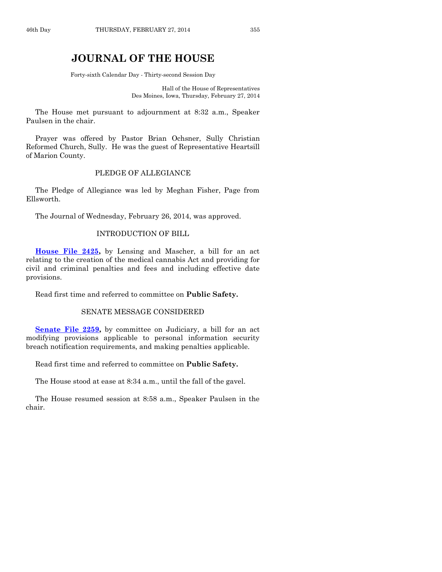# **JOURNAL OF THE HOUSE**

Forty-sixth Calendar Day - Thirty-second Session Day

Hall of the House of Representatives Des Moines, Iowa, Thursday, February 27, 2014

The House met pursuant to adjournment at 8:32 a.m., Speaker Paulsen in the chair.

Prayer was offered by Pastor Brian Ochsner, Sully Christian Reformed Church, Sully. He was the guest of Representative Heartsill of Marion County.

# PLEDGE OF ALLEGIANCE

The Pledge of Allegiance was led by Meghan Fisher, Page from Ellsworth.

The Journal of Wednesday, February 26, 2014, was approved.

# INTRODUCTION OF BILL

**[House File 2425,](http://coolice.legis.iowa.gov/Cool-ICE/default.asp?Category=billinfo&Service=Billbook&frame=1&GA=85&hbill=HF2425)** by Lensing and Mascher, a bill for an act relating to the creation of the medical cannabis Act and providing for civil and criminal penalties and fees and including effective date provisions.

Read first time and referred to committee on **Public Safety.**

# SENATE MESSAGE CONSIDERED

**[Senate File 2259,](http://coolice.legis.iowa.gov/Cool-ICE/default.asp?Category=billinfo&Service=Billbook&frame=1&GA=85&hbill=SF2259)** by committee on Judiciary, a bill for an act modifying provisions applicable to personal information security breach notification requirements, and making penalties applicable.

Read first time and referred to committee on **Public Safety.**

The House stood at ease at 8:34 a.m., until the fall of the gavel.

The House resumed session at 8:58 a.m., Speaker Paulsen in the chair.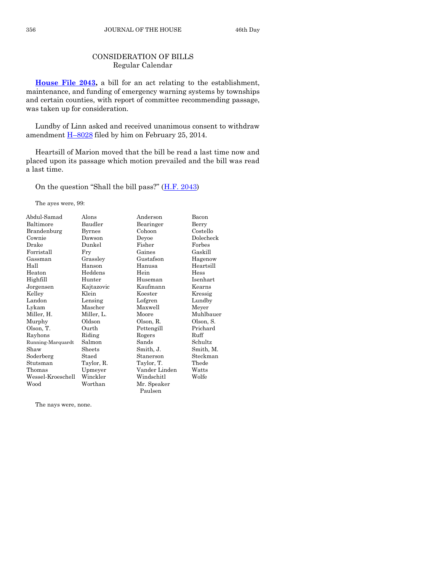# CONSIDERATION OF BILLS Regular Calendar

**[House File 2043,](http://coolice.legis.iowa.gov/Cool-ICE/default.asp?Category=billinfo&Service=Billbook&frame=1&GA=85&hbill=HF2043)** a bill for an act relating to the establishment, maintenance, and funding of emergency warning systems by townships and certain counties, with report of committee recommending passage, was taken up for consideration.

Lundby of Linn asked and received unanimous consent to withdraw amendment H–[8028](http://coolice.legis.iowa.gov/Cool-ICE/default.asp?Category=billinfo&Service=Billbook&frame=1&GA=85&hbill=H8028) filed by him on February 25, 2014.

Heartsill of Marion moved that the bill be read a last time now and placed upon its passage which motion prevailed and the bill was read a last time.

On the question "Shall the bill pass?"  $(H.F. 2043)$  $(H.F. 2043)$ 

The ayes were, 99:

| Abdul-Samad       | Alons         | Anderson      | Bacon     |
|-------------------|---------------|---------------|-----------|
| Baltimore         | Baudler       | Bearinger     | Berry     |
| Brandenburg       | <b>Byrnes</b> | Cohoon        | Costello  |
| Cownie            | Dawson        | Deyoe         | Dolecheck |
| Drake             | Dunkel        | Fisher        | Forbes    |
| Forristall        | Fry           | Gaines        | Gaskill   |
| Gassman           | Grassley      | Gustafson     | Hagenow   |
| Hall              | Hanson        | Hanusa        | Heartsill |
| Heaton            | Heddens       | Hein          | Hess      |
| Highfill          | Hunter        | Huseman       | Isenhart  |
| Jorgensen         | Kajtazovic    | Kaufmann      | Kearns    |
| Kelley            | Klein         | Koester       | Kressig   |
| Landon            | Lensing       | Lofgren       | Lundby    |
| Lykam             | Mascher       | Maxwell       | Meyer     |
| Miller, H.        | Miller, L.    | Moore         | Muhlbauer |
| Murphy            | Oldson        | Olson, R.     | Olson, S. |
| Olson, T.         | Ourth         | Pettengill    | Prichard  |
| Rayhons           | Riding        | Rogers        | Ruff      |
| Running-Marquardt | Salmon        | Sands         | Schultz   |
| Shaw              | Sheets        | Smith, J.     | Smith, M. |
| Soderberg         | Staed         | Stanerson     | Steckman  |
| Stutsman          | Taylor, R.    | Taylor, T.    | Thede     |
| Thomas            | Upmeyer       | Vander Linden | Watts     |
| Wessel-Kroeschell | Winckler      | Windschitl    | Wolfe     |
| Wood              | Worthan       | Mr. Speaker   |           |
|                   |               | Paulsen       |           |

The nays were, none.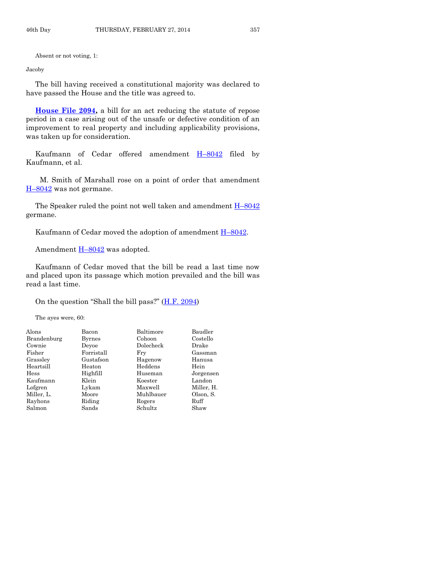Absent or not voting, 1:

Jacoby

The bill having received a constitutional majority was declared to have passed the House and the title was agreed to.

**[House File 2094,](http://coolice.legis.iowa.gov/Cool-ICE/default.asp?Category=billinfo&Service=Billbook&frame=1&GA=85&hbill=HF2094)** a bill for an act reducing the statute of repose period in a case arising out of the unsafe or defective condition of an improvement to real property and including applicability provisions, was taken up for consideration.

Kaufmann of Cedar offered amendment H–[8042](http://coolice.legis.iowa.gov/Cool-ICE/default.asp?Category=billinfo&Service=Billbook&frame=1&GA=85&hbill=H8042) filed by Kaufmann, et al.

M. Smith of Marshall rose on a point of order that amendment H–[8042](http://coolice.legis.iowa.gov/Cool-ICE/default.asp?Category=billinfo&Service=Billbook&frame=1&GA=85&hbill=H8042) was not germane.

The Speaker ruled the point not well taken and amendment  $H-8042$  $H-8042$ germane.

Kaufmann of Cedar moved the adoption of amendment H–[8042.](http://coolice.legis.iowa.gov/Cool-ICE/default.asp?Category=billinfo&Service=Billbook&frame=1&GA=85&hbill=H8042)

Amendment  $H-8042$  $H-8042$  was adopted.

Kaufmann of Cedar moved that the bill be read a last time now and placed upon its passage which motion prevailed and the bill was read a last time.

On the question "Shall the bill pass?" [\(H.F. 2094\)](http://coolice.legis.iowa.gov/Cool-ICE/default.asp?Category=billinfo&Service=Billbook&frame=1&GA=85&hbill=HF2094)

The ayes were, 60:

| Alons       | Bacon      | Baltimore | Baudler    |
|-------------|------------|-----------|------------|
| Brandenburg | Byrnes     | Cohoon    | Costello   |
| Cownie      | Devoe      | Dolecheck | Drake      |
| Fisher      | Forristall | Fry       | Gassman    |
| Grassley    | Gustafson  | Hagenow   | Hanusa     |
| Heartsill   | Heaton     | Heddens   | Hein       |
| Hess        | Highfill   | Huseman   | Jorgensen  |
| Kaufmann    | Klein      | Koester   | Landon     |
| Lofgren     | Lykam      | Maxwell   | Miller, H. |
| Miller, L.  | Moore      | Muhlbauer | Olson, S.  |
| Rayhons     | Riding     | Rogers    | Ruff       |
| Salmon      | Sands      | Schultz   | Shaw       |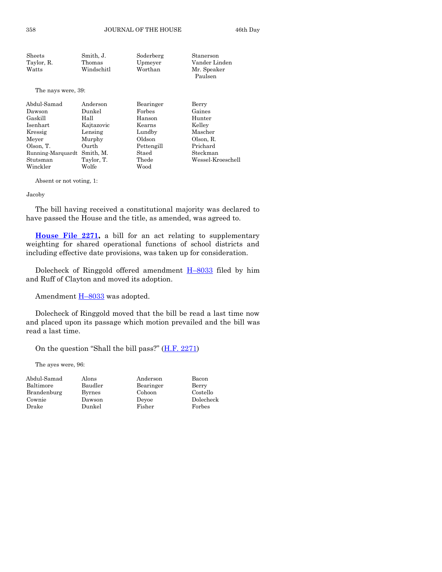| Sheets     | Smith. J.  | Soderberg | Stanerson     |
|------------|------------|-----------|---------------|
| Taylor, R. | Thomas     | Upmeyer   | Vander Linden |
| Watts      | Windschitl | Worthan   | Mr. Speaker   |
|            |            |           | Paulsen       |

The nays were, 39:

| Abdul-Samad       | Anderson   | Bearinger  | Berry             |
|-------------------|------------|------------|-------------------|
| Dawson            | Dunkel     | Forbes     | Gaines            |
| Gaskill           | Hall       | Hanson     | Hunter            |
| Isenhart          | Kajtazovic | Kearns     | Kelley            |
| Kressig           | Lensing    | Lundby     | Mascher           |
| Meyer             | Murphy     | Oldson     | Olson, R.         |
| Olson. T.         | Ourth      | Pettengill | Prichard          |
| Running-Marquardt | Smith, M.  | Staed      | Steckman          |
| Stutsman          | Taylor, T. | Thede      | Wessel-Kroeschell |
| Winckler          | Wolfe      | Wood       |                   |
|                   |            |            |                   |

Absent or not voting, 1:

#### Jacoby

The bill having received a constitutional majority was declared to have passed the House and the title, as amended, was agreed to.

**[House File 2271,](http://coolice.legis.iowa.gov/Cool-ICE/default.asp?Category=billinfo&Service=Billbook&frame=1&GA=85&hbill=HF2271)** a bill for an act relating to supplementary weighting for shared operational functions of school districts and including effective date provisions, was taken up for consideration.

Dolecheck of Ringgold offered amendment  $H$ –[8033](http://coolice.legis.iowa.gov/Cool-ICE/default.asp?Category=billinfo&Service=Billbook&frame=1&GA=85&hbill=H8033) filed by him and Ruff of Clayton and moved its adoption.

Amendment **H-[8033](http://coolice.legis.iowa.gov/Cool-ICE/default.asp?Category=billinfo&Service=Billbook&frame=1&GA=85&hbill=H8033)** was adopted.

Dolecheck of Ringgold moved that the bill be read a last time now and placed upon its passage which motion prevailed and the bill was read a last time.

> Costello Dolecheck<br>Forbes

On the question "Shall the bill pass?" [\(H.F. 2271\)](http://coolice.legis.iowa.gov/Cool-ICE/default.asp?Category=billinfo&Service=Billbook&frame=1&GA=85&hbill=HF2271)

The ayes were, 96:

| Abdul-Samad | Alons         | Anderson  | Bacon   |
|-------------|---------------|-----------|---------|
| Baltimore   | Baudler       | Bearinger | Berry   |
| Brandenburg | <b>Byrnes</b> | Cohoon    | Costell |
| Cownie      | Dawson        | Devoe     | Dolech  |
| Drake       | Dunkel        | Fisher    | Forbes  |
|             |               |           |         |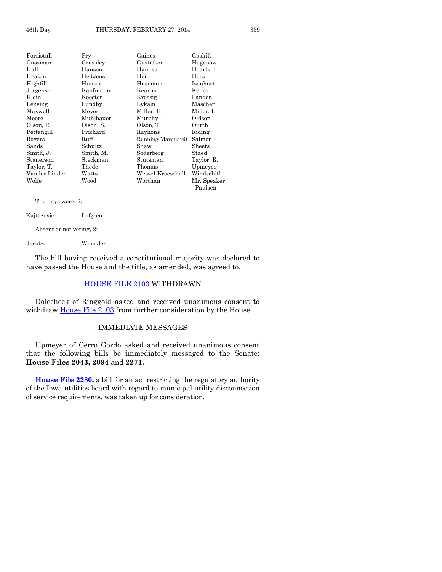| Forristall    | Fry       | Gaines            | Gaskill     |
|---------------|-----------|-------------------|-------------|
| Gassman       | Grassley  | Gustafson         | Hagenow     |
| Hall          | Hanson    | Hanusa            | Heartsill   |
| Heaton        | Heddens   | Hein              | Hess        |
| Highfill      | Hunter    | Huseman           | Isenhart    |
| Jorgensen     | Kaufmann  | Kearns            | Kelley      |
| Klein         | Koester   | Kressig           | Landon      |
| Lensing       | Lundby    | Lykam             | Mascher     |
| Maxwell       | Meyer     | Miller, H.        | Miller, L.  |
| Moore         | Muhlbauer | Murphy            | Oldson      |
| Olson, R.     | Olson, S. | Olson, T.         | Ourth       |
| Pettengill    | Prichard  | Rayhons           | Riding      |
| Rogers        | Ruff      | Running-Marquardt | Salmon      |
| Sands         | Schultz   | Shaw              | Sheets      |
| Smith, J.     | Smith, M. | Soderberg         | Staed       |
| Stanerson     | Steckman  | Stutsman          | Taylor, R.  |
| Taylor, T.    | Thede     | Thomas            | Upmeyer     |
| Vander Linden | Watts     | Wessel-Kroeschell | Windschitl  |
| Wolfe         | Wood      | Worthan           | Mr. Speaker |
|               |           |                   | Paulsen     |

The nays were, 2:

Kajtazovic Lofgren

Absent or not voting, 2:

Jacoby Winckler

The bill having received a constitutional majority was declared to have passed the House and the title, as amended, was agreed to.

# [HOUSE FILE 2103](http://coolice.legis.iowa.gov/Cool-ICE/default.asp?Category=billinfo&Service=Billbook&frame=1&GA=85&hbill=HF2103) WITHDRAWN

Dolecheck of Ringgold asked and received unanimous consent to withdraw [House File 2103](http://coolice.legis.iowa.gov/Cool-ICE/default.asp?Category=billinfo&Service=Billbook&frame=1&GA=85&hbill=HF2103) from further consideration by the House.

# IMMEDIATE MESSAGES

Upmeyer of Cerro Gordo asked and received unanimous consent that the following bills be immediately messaged to the Senate: **House Files 2043, 2094** and **2271.**

**[House File 2280,](http://coolice.legis.iowa.gov/Cool-ICE/default.asp?Category=billinfo&Service=Billbook&frame=1&GA=85&hbill=HF2280)** a bill for an act restricting the regulatory authority of the Iowa utilities board with regard to municipal utility disconnection of service requirements, was taken up for consideration.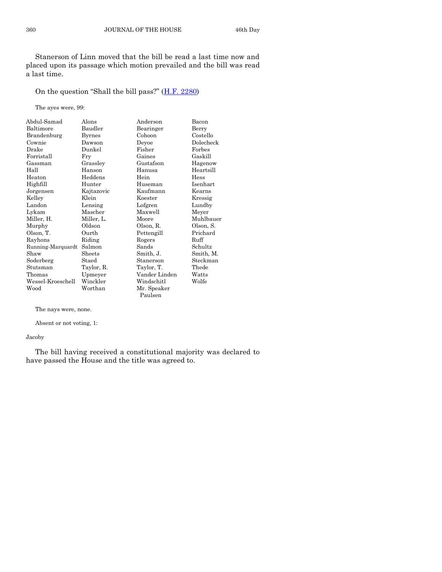Stanerson of Linn moved that the bill be read a last time now and placed upon its passage which motion prevailed and the bill was read a last time.

On the question "Shall the bill pass?" ([H.F. 2280\)](http://coolice.legis.iowa.gov/Cool-ICE/default.asp?Category=billinfo&Service=Billbook&frame=1&GA=85&hbill=HF2280)

The ayes were, 99:

| Abdul-Samad       | Alons         | Anderson      | Bacon     |
|-------------------|---------------|---------------|-----------|
| Baltimore         | Baudler       | Bearinger     | Berry     |
| Brandenburg       | <b>Byrnes</b> | Cohoon        | Costello  |
| Cownie            | Dawson        | Deyoe         | Dolecheck |
| Drake             | Dunkel        | Fisher        | Forbes    |
| Forristall        | Fry           | Gaines        | Gaskill   |
| Gassman           | Grassley      | Gustafson     | Hagenow   |
| Hall              | Hanson        | Hanusa        | Heartsill |
| Heaton            | Heddens       | Hein          | Hess      |
| Highfill          | Hunter        | Huseman       | Isenhart  |
| Jorgensen         | Kajtazovic    | Kaufmann      | Kearns    |
| Kelley            | Klein         | Koester       | Kressig   |
| Landon            | Lensing       | Lofgren       | Lundby    |
| Lykam             | Mascher       | Maxwell       | Meyer     |
| Miller, H.        | Miller, L.    | Moore         | Muhlbauer |
| Murphy            | Oldson        | Olson, R.     | Olson, S. |
| Olson, T.         | Ourth         | Pettengill    | Prichard  |
| Rayhons           | Riding        | Rogers        | Ruff      |
| Running-Marquardt | Salmon        | Sands         | Schultz   |
| Shaw              | Sheets        | Smith, J.     | Smith, M. |
| Soderberg         | Staed         | Stanerson     | Steckman  |
| Stutsman          | Taylor, R.    | Taylor, T.    | Thede     |
| Thomas            | Upmeyer       | Vander Linden | Watts     |
| Wessel-Kroeschell | Winckler      | Windschitl    | Wolfe     |
| Wood              | Worthan       | Mr. Speaker   |           |
|                   |               | Paulsen       |           |

The nays were, none.

Absent or not voting, 1:

Jacoby

The bill having received a constitutional majority was declared to have passed the House and the title was agreed to.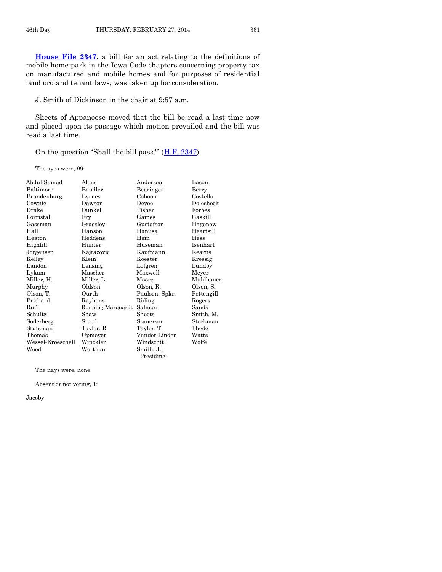**[House File 2347,](http://coolice.legis.iowa.gov/Cool-ICE/default.asp?Category=billinfo&Service=Billbook&frame=1&GA=85&hbill=HF2347)** a bill for an act relating to the definitions of mobile home park in the Iowa Code chapters concerning property tax on manufactured and mobile homes and for purposes of residential landlord and tenant laws, was taken up for consideration.

J. Smith of Dickinson in the chair at 9:57 a.m.

Sheets of Appanoose moved that the bill be read a last time now and placed upon its passage which motion prevailed and the bill was read a last time.

On the question "Shall the bill pass?"  $(H.F. 2347)$  $(H.F. 2347)$ 

The ayes were, 99:

| Abdul-Samad       | Alons             | Anderson                | Bacon      |
|-------------------|-------------------|-------------------------|------------|
| Baltimore         | Baudler           | Bearinger               | Berry      |
| Brandenburg       | <b>Byrnes</b>     | Cohoon                  | Costello   |
| Cownie            | Dawson            | Deyoe                   | Dolecheck  |
| Drake             | Dunkel            | Fisher                  | Forbes     |
| Forristall        | Fry               | Gaines                  | Gaskill    |
| Gassman           | Grassley          | Gustafson               | Hagenow    |
| Hall              | Hanson            | Hanusa                  | Heartsill  |
| Heaton            | Heddens           | Hein                    | Hess       |
| Highfill          | Hunter            | Huseman                 | Isenhart   |
| Jorgensen         | Kajtazovic        | Kaufmann                | Kearns     |
| Kelley            | Klein             | Koester                 | Kressig    |
| Landon            | Lensing           | Lofgren                 | Lundby     |
| Lykam             | Mascher           | Maxwell                 | Meyer      |
| Miller, H.        | Miller, L.        | Moore                   | Muhlbauer  |
| Murphy            | Oldson            | Olson, R.               | Olson, S.  |
| Olson, T.         | Ourth             | Paulsen, Spkr.          | Pettengill |
| Prichard          | Rayhons           | Riding                  | Rogers     |
| Ruff              | Running-Marquardt | Salmon                  | Sands      |
| Schultz           | Shaw              | Sheets                  | Smith, M.  |
| Soderberg         | Staed             | Stanerson               | Steckman   |
| Stutsman          | Taylor, R.        | Taylor, T.              | Thede      |
| Thomas            | Upmeyer           | Vander Linden           | Watts      |
| Wessel-Kroeschell | Winckler          | Windschitl              | Wolfe      |
| Wood              | Worthan           | Smith, J.,<br>Presiding |            |

The nays were, none.

Absent or not voting, 1:

Jacoby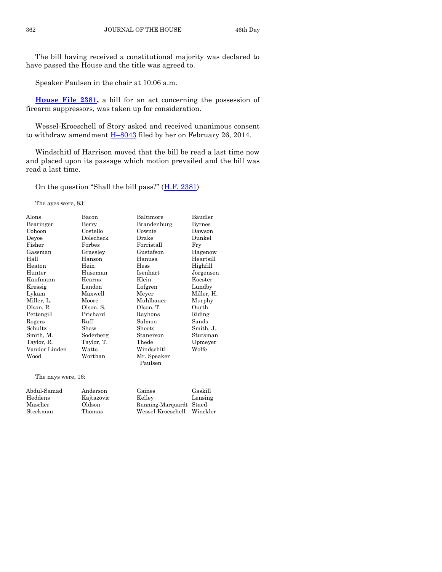The bill having received a constitutional majority was declared to have passed the House and the title was agreed to.

Speaker Paulsen in the chair at 10:06 a.m.

**[House File 2381,](http://coolice.legis.iowa.gov/Cool-ICE/default.asp?Category=billinfo&Service=Billbook&frame=1&GA=85&hbill=HF2381)** a bill for an act concerning the possession of firearm suppressors, was taken up for consideration.

Wessel-Kroeschell of Story asked and received unanimous consent to withdraw amendment  $H$ –[8043](http://coolice.legis.iowa.gov/Cool-ICE/default.asp?Category=billinfo&Service=Billbook&frame=1&GA=85&hbill=H8043) filed by her on February 26, 2014.

Windschitl of Harrison moved that the bill be read a last time now and placed upon its passage which motion prevailed and the bill was read a last time.

On the question "Shall the bill pass?" ([H.F. 2381\)](http://coolice.legis.iowa.gov/Cool-ICE/default.asp?Category=billinfo&Service=Billbook&frame=1&GA=85&hbill=HF2381)

The ayes were, 83:

| Alons         | Bacon      | Baltimore   | Baudler    |
|---------------|------------|-------------|------------|
| Bearinger     | Berry      | Brandenburg | Byrnes     |
| Cohoon        | Costello   | Cownie      | Dawson     |
| Deyoe         | Dolecheck  | Drake       | Dunkel     |
| Fisher        | Forbes     | Forristall  | Fry        |
| Gassman       | Grassley   | Gustafson   | Hagenow    |
| Hall          | Hanson     | Hanusa      | Heartsill  |
| Heaton        | Hein       | Hess        | Highfill   |
| Hunter        | Huseman    | Isenhart    | Jorgensen  |
| Kaufmann      | Kearns     | Klein       | Koester    |
| Kressig       | Landon     | Lofgren     | Lundby     |
| Lykam         | Maxwell    | Meyer       | Miller, H. |
| Miller, L.    | Moore      | Muhlbauer   | Murphy     |
| Olson, R.     | Olson, S.  | Olson, T.   | Ourth      |
| Pettengill    | Prichard   | Rayhons     | Riding     |
| Rogers        | Ruff       | Salmon      | Sands      |
| Schultz       | Shaw       | Sheets      | Smith, J.  |
| Smith, M.     | Soderberg  | Stanerson   | Stutsman   |
| Taylor, R.    | Taylor, T. | Thede       | Upmeyer    |
| Vander Linden | Watts      | Windschitl  | Wolfe      |
| Wood          | Worthan    | Mr. Speaker |            |
|               |            | Paulsen     |            |
|               |            |             |            |

The nays were, 16:

| Abdul-Samad | Anderson   | Gaines                  | Gaskill  |
|-------------|------------|-------------------------|----------|
| Heddens     | Kajtazovic | Kellev                  | Lensing  |
| Mascher     | Oldson     | Running-Marquardt Staed |          |
| Steckman    | Thomas     | Wessel-Kroeschell       | Winckler |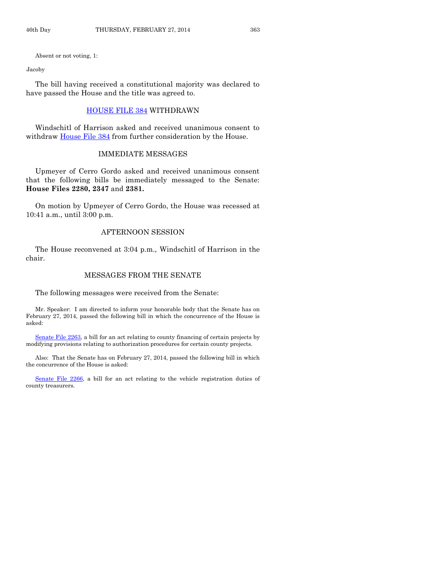Absent or not voting, 1:

#### Jacoby

The bill having received a constitutional majority was declared to have passed the House and the title was agreed to.

# [HOUSE FILE 384](http://coolice.legis.iowa.gov/Cool-ICE/default.asp?Category=billinfo&Service=Billbook&frame=1&GA=85&hbill=HF384) WITHDRAWN

Windschitl of Harrison asked and received unanimous consent to withdraw [House File 384](http://coolice.legis.iowa.gov/Cool-ICE/default.asp?Category=billinfo&Service=Billbook&frame=1&GA=85&hbill=HF384) from further consideration by the House.

# IMMEDIATE MESSAGES

Upmeyer of Cerro Gordo asked and received unanimous consent that the following bills be immediately messaged to the Senate: **House Files 2280, 2347** and **2381.**

On motion by Upmeyer of Cerro Gordo, the House was recessed at 10:41 a.m., until 3:00 p.m.

# AFTERNOON SESSION

The House reconvened at 3:04 p.m., Windschitl of Harrison in the chair.

# MESSAGES FROM THE SENATE

The following messages were received from the Senate:

Mr. Speaker: I am directed to inform your honorable body that the Senate has on February 27, 2014, passed the following bill in which the concurrence of the House is asked:

[Senate File 2263,](http://coolice.legis.iowa.gov/Cool-ICE/default.asp?Category=billinfo&Service=Billbook&frame=1&GA=85&hbill=SF2263) a bill for an act relating to county financing of certain projects by modifying provisions relating to authorization procedures for certain county projects.

Also: That the Senate has on February 27, 2014, passed the following bill in which the concurrence of the House is asked:

[Senate File 2266,](http://coolice.legis.iowa.gov/Cool-ICE/default.asp?Category=billinfo&Service=Billbook&frame=1&GA=85&hbill=SF2266) a bill for an act relating to the vehicle registration duties of county treasurers.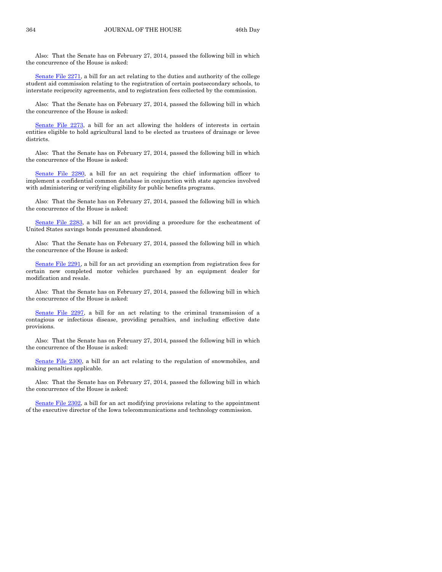Also: That the Senate has on February 27, 2014, passed the following bill in which the concurrence of the House is asked:

[Senate File 2271,](http://coolice.legis.iowa.gov/Cool-ICE/default.asp?Category=billinfo&Service=Billbook&frame=1&GA=85&hbill=SF2271) a bill for an act relating to the duties and authority of the college student aid commission relating to the registration of certain postsecondary schools, to interstate reciprocity agreements, and to registration fees collected by the commission.

Also: That the Senate has on February 27, 2014, passed the following bill in which the concurrence of the House is asked:

[Senate File 2273,](http://coolice.legis.iowa.gov/Cool-ICE/default.asp?Category=billinfo&Service=Billbook&frame=1&GA=85&hbill=SF2273) a bill for an act allowing the holders of interests in certain entities eligible to hold agricultural land to be elected as trustees of drainage or levee districts.

Also: That the Senate has on February 27, 2014, passed the following bill in which the concurrence of the House is asked:

[Senate File 2280,](http://coolice.legis.iowa.gov/Cool-ICE/default.asp?Category=billinfo&Service=Billbook&frame=1&GA=85&hbill=SF2280) a bill for an act requiring the chief information officer to implement a confidential common database in conjunction with state agencies involved with administering or verifying eligibility for public benefits programs.

Also: That the Senate has on February 27, 2014, passed the following bill in which the concurrence of the House is asked:

[Senate File 2283,](http://coolice.legis.iowa.gov/Cool-ICE/default.asp?Category=billinfo&Service=Billbook&frame=1&GA=85&hbill=SF2283) a bill for an act providing a procedure for the escheatment of United States savings bonds presumed abandoned.

Also: That the Senate has on February 27, 2014, passed the following bill in which the concurrence of the House is asked:

[Senate File 2291,](http://coolice.legis.iowa.gov/Cool-ICE/default.asp?Category=billinfo&Service=Billbook&frame=1&GA=85&hbill=SF2291) a bill for an act providing an exemption from registration fees for certain new completed motor vehicles purchased by an equipment dealer for modification and resale.

Also: That the Senate has on February 27, 2014, passed the following bill in which the concurrence of the House is asked:

[Senate File 2297,](http://coolice.legis.iowa.gov/Cool-ICE/default.asp?Category=billinfo&Service=Billbook&frame=1&GA=85&hbill=SF2297) a bill for an act relating to the criminal transmission of a contagious or infectious disease, providing penalties, and including effective date provisions.

Also: That the Senate has on February 27, 2014, passed the following bill in which the concurrence of the House is asked:

[Senate File 2300,](http://coolice.legis.iowa.gov/Cool-ICE/default.asp?Category=billinfo&Service=Billbook&frame=1&GA=85&hbill=SF2300) a bill for an act relating to the regulation of snowmobiles, and making penalties applicable.

Also: That the Senate has on February 27, 2014, passed the following bill in which the concurrence of the House is asked:

[Senate File 2302,](http://coolice.legis.iowa.gov/Cool-ICE/default.asp?Category=billinfo&Service=Billbook&frame=1&GA=85&hbill=SF2302) a bill for an act modifying provisions relating to the appointment of the executive director of the Iowa telecommunications and technology commission.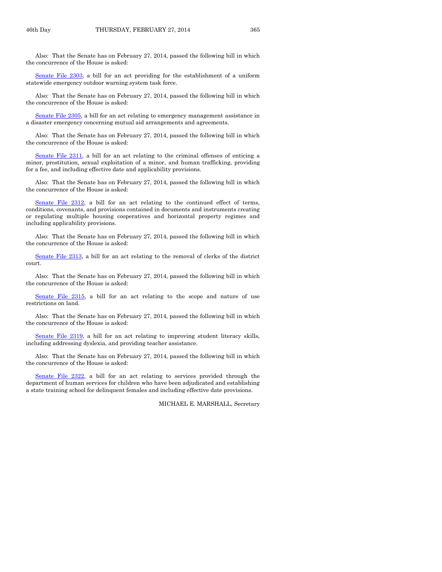Also: That the Senate has on February 27, 2014, passed the following bill in which the concurrence of the House is asked:

[Senate File 2303,](http://coolice.legis.iowa.gov/Cool-ICE/default.asp?Category=billinfo&Service=Billbook&frame=1&GA=85&hbill=SF2303) a bill for an act providing for the establishment of a uniform statewide emergency outdoor warning system task force.

Also: That the Senate has on February 27, 2014, passed the following bill in which the concurrence of the House is asked:

[Senate File 2305,](http://coolice.legis.iowa.gov/Cool-ICE/default.asp?Category=billinfo&Service=Billbook&frame=1&GA=85&hbill=SF2305) a bill for an act relating to emergency management assistance in a disaster emergency concerning mutual aid arrangements and agreements.

Also: That the Senate has on February 27, 2014, passed the following bill in which the concurrence of the House is asked:

[Senate File 2311,](http://coolice.legis.iowa.gov/Cool-ICE/default.asp?Category=billinfo&Service=Billbook&frame=1&GA=85&hbill=SF2311) a bill for an act relating to the criminal offenses of enticing a minor, prostitution, sexual exploitation of a minor, and human trafficking, providing for a fee, and including effective date and applicability provisions.

Also: That the Senate has on February 27, 2014, passed the following bill in which the concurrence of the House is asked:

[Senate File 2312,](http://coolice.legis.iowa.gov/Cool-ICE/default.asp?Category=billinfo&Service=Billbook&frame=1&GA=85&hbill=SF2312) a bill for an act relating to the continued effect of terms, conditions, covenants, and provisions contained in documents and instruments creating or regulating multiple housing cooperatives and horizontal property regimes and including applicability provisions.

Also: That the Senate has on February 27, 2014, passed the following bill in which the concurrence of the House is asked:

[Senate File 2313,](http://coolice.legis.iowa.gov/Cool-ICE/default.asp?Category=billinfo&Service=Billbook&frame=1&GA=85&hbill=SF2313) a bill for an act relating to the removal of clerks of the district court.

Also: That the Senate has on February 27, 2014, passed the following bill in which the concurrence of the House is asked:

[Senate File 2315,](http://coolice.legis.iowa.gov/Cool-ICE/default.asp?Category=billinfo&Service=Billbook&frame=1&GA=85&hbill=SF2315) a bill for an act relating to the scope and nature of use restrictions on land.

Also: That the Senate has on February 27, 2014, passed the following bill in which the concurrence of the House is asked:

[Senate File 2319,](http://coolice.legis.iowa.gov/Cool-ICE/default.asp?Category=billinfo&Service=Billbook&frame=1&GA=85&hbill=SF2319) a bill for an act relating to improving student literacy skills, including addressing dyslexia, and providing teacher assistance.

Also: That the Senate has on February 27, 2014, passed the following bill in which the concurrence of the House is asked:

[Senate File 2322,](http://coolice.legis.iowa.gov/Cool-ICE/default.asp?Category=billinfo&Service=Billbook&frame=1&GA=85&hbill=SF2322) a bill for an act relating to services provided through the department of human services for children who have been adjudicated and establishing a state training school for delinquent females and including effective date provisions.

MICHAEL E. MARSHALL, Secretary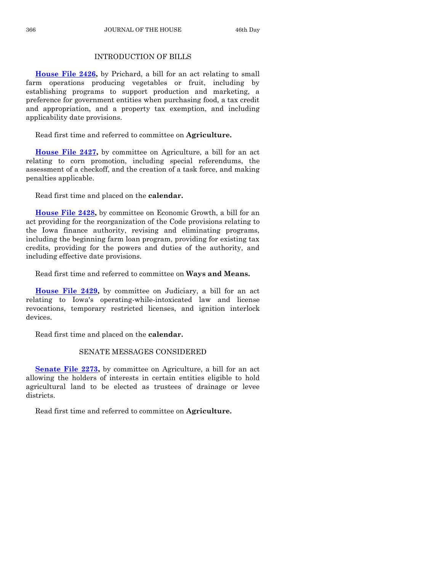# INTRODUCTION OF BILLS

**[House File 2426,](http://coolice.legis.iowa.gov/Cool-ICE/default.asp?Category=billinfo&Service=Billbook&frame=1&GA=85&hbill=HF2426)** by Prichard, a bill for an act relating to small farm operations producing vegetables or fruit, including by establishing programs to support production and marketing, a preference for government entities when purchasing food, a tax credit and appropriation, and a property tax exemption, and including applicability date provisions.

Read first time and referred to committee on **Agriculture.**

**[House File 2427,](http://coolice.legis.iowa.gov/Cool-ICE/default.asp?Category=billinfo&Service=Billbook&frame=1&GA=85&hbill=HF2427)** by committee on Agriculture, a bill for an act relating to corn promotion, including special referendums, the assessment of a checkoff, and the creation of a task force, and making penalties applicable.

Read first time and placed on the **calendar.**

**[House File 2428,](http://coolice.legis.iowa.gov/Cool-ICE/default.asp?Category=billinfo&Service=Billbook&frame=1&GA=85&hbill=HF2428)** by committee on Economic Growth, a bill for an act providing for the reorganization of the Code provisions relating to the Iowa finance authority, revising and eliminating programs, including the beginning farm loan program, providing for existing tax credits, providing for the powers and duties of the authority, and including effective date provisions.

Read first time and referred to committee on **Ways and Means.**

**[House File 2429,](http://coolice.legis.iowa.gov/Cool-ICE/default.asp?Category=billinfo&Service=Billbook&frame=1&GA=85&hbill=HF2429)** by committee on Judiciary, a bill for an act relating to Iowa's operating-while-intoxicated law and license revocations, temporary restricted licenses, and ignition interlock devices.

Read first time and placed on the **calendar.**

# SENATE MESSAGES CONSIDERED

**[Senate File 2273,](http://coolice.legis.iowa.gov/Cool-ICE/default.asp?Category=billinfo&Service=Billbook&frame=1&GA=85&hbill=SF2273)** by committee on Agriculture, a bill for an act allowing the holders of interests in certain entities eligible to hold agricultural land to be elected as trustees of drainage or levee districts.

Read first time and referred to committee on **Agriculture.**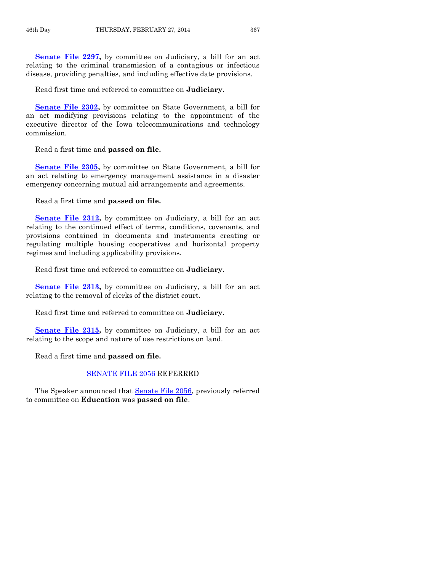**[Senate File 2297,](http://coolice.legis.iowa.gov/Cool-ICE/default.asp?Category=billinfo&Service=Billbook&frame=1&GA=85&hbill=SF2297)** by committee on Judiciary, a bill for an act relating to the criminal transmission of a contagious or infectious disease, providing penalties, and including effective date provisions.

Read first time and referred to committee on **Judiciary.**

**[Senate File 2302,](http://coolice.legis.iowa.gov/Cool-ICE/default.asp?Category=billinfo&Service=Billbook&frame=1&GA=85&hbill=SF2302)** by committee on State Government, a bill for an act modifying provisions relating to the appointment of the executive director of the Iowa telecommunications and technology commission.

Read a first time and **passed on file.**

**[Senate File 2305,](http://coolice.legis.iowa.gov/Cool-ICE/default.asp?Category=billinfo&Service=Billbook&frame=1&GA=85&hbill=SF2305)** by committee on State Government, a bill for an act relating to emergency management assistance in a disaster emergency concerning mutual aid arrangements and agreements.

Read a first time and **passed on file.**

**[Senate File 2312,](http://coolice.legis.iowa.gov/Cool-ICE/default.asp?Category=billinfo&Service=Billbook&frame=1&GA=85&hbill=SF2312)** by committee on Judiciary, a bill for an act relating to the continued effect of terms, conditions, covenants, and provisions contained in documents and instruments creating or regulating multiple housing cooperatives and horizontal property regimes and including applicability provisions.

Read first time and referred to committee on **Judiciary.**

**[Senate File 2313,](http://coolice.legis.iowa.gov/Cool-ICE/default.asp?Category=billinfo&Service=Billbook&frame=1&GA=85&hbill=SF2313)** by committee on Judiciary, a bill for an act relating to the removal of clerks of the district court.

Read first time and referred to committee on **Judiciary.**

[Senate File 2315,](http://coolice.legis.iowa.gov/Cool-ICE/default.asp?Category=billinfo&Service=Billbook&frame=1&GA=85&hbill=SF2315) by committee on Judiciary, a bill for an act relating to the scope and nature of use restrictions on land.

Read a first time and **passed on file.**

# [SENATE FILE 2056](http://coolice.legis.iowa.gov/Cool-ICE/default.asp?Category=billinfo&Service=Billbook&frame=1&GA=85&hbill=SF2056) REFERRED

The Speaker announced that [Senate File 2056,](http://coolice.legis.iowa.gov/Cool-ICE/default.asp?Category=billinfo&Service=Billbook&frame=1&GA=85&hbill=SF2056) previously referred to committee on **Education** was **passed on file**.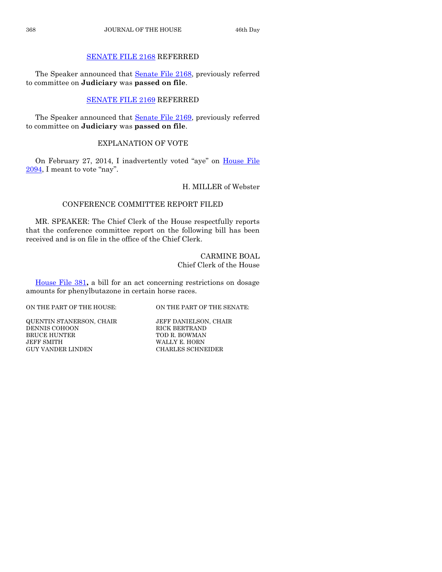# [SENATE FILE 2168](http://coolice.legis.iowa.gov/Cool-ICE/default.asp?Category=billinfo&Service=Billbook&frame=1&GA=85&hbill=SF2168) REFERRED

The Speaker announced that [Senate File 2168,](http://coolice.legis.iowa.gov/Cool-ICE/default.asp?Category=billinfo&Service=Billbook&frame=1&GA=85&hbill=SF2168) previously referred to committee on **Judiciary** was **passed on file**.

# [SENATE FILE 2169](http://coolice.legis.iowa.gov/Cool-ICE/default.asp?Category=billinfo&Service=Billbook&frame=1&GA=85&hbill=SF2169) REFERRED

The Speaker announced that [Senate File 2169,](http://coolice.legis.iowa.gov/Cool-ICE/default.asp?Category=billinfo&Service=Billbook&frame=1&GA=85&hbill=SF2169) previously referred to committee on **Judiciary** was **passed on file**.

# EXPLANATION OF VOTE

On February 27, 2014, I inadvertently voted "aye" on [House File](http://coolice.legis.iowa.gov/Cool-ICE/default.asp?Category=billinfo&Service=Billbook&frame=1&GA=85&hbill=HF2094)  [2094](http://coolice.legis.iowa.gov/Cool-ICE/default.asp?Category=billinfo&Service=Billbook&frame=1&GA=85&hbill=HF2094), I meant to vote "nay".

# H. MILLER of Webster

# CONFERENCE COMMITTEE REPORT FILED

MR. SPEAKER: The Chief Clerk of the House respectfully reports that the conference committee report on the following bill has been received and is on file in the office of the Chief Clerk.

# CARMINE BOAL Chief Clerk of the House

[House File 381](http://coolice.legis.iowa.gov/Cool-ICE/default.asp?Category=billinfo&Service=Billbook&frame=1&GA=85&hbill=HF381)**,** a bill for an act concerning restrictions on dosage amounts for phenylbutazone in certain horse races.

ON THE PART OF THE HOUSE: ON THE PART OF THE SENATE:

QUENTIN STANERSON, CHAIR JEFF DANIELSON, CHAIR DENNIS COHOON RICK BERTRAND BRUCE HUNTER TOD R. BOWMAN JEFF SMITH WALLY E. HORN GUY VANDER LINDEN SCHANGER SCHNI

CHARLES SCHNEIDER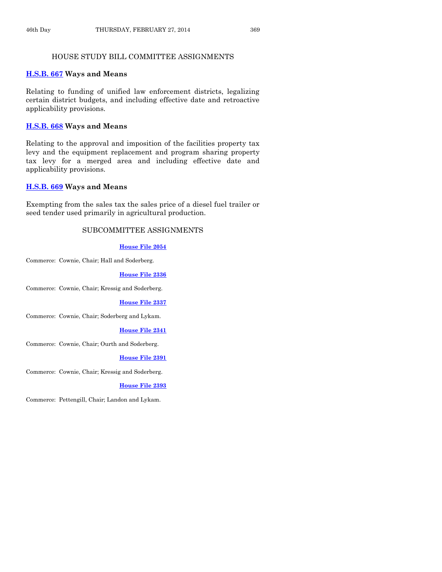# HOUSE STUDY BILL COMMITTEE ASSIGNMENTS

# **[H.S.B. 667](http://coolice.legis.iowa.gov/Cool-ICE/default.asp?Category=billinfo&Service=Billbook&frame=1&GA=85&hbill=HSB667) Ways and Means**

Relating to funding of unified law enforcement districts, legalizing certain district budgets, and including effective date and retroactive applicability provisions.

#### **[H.S.B. 668](http://coolice.legis.iowa.gov/Cool-ICE/default.asp?Category=billinfo&Service=Billbook&frame=1&GA=85&hbill=HSB668) Ways and Means**

Relating to the approval and imposition of the facilities property tax levy and the equipment replacement and program sharing property tax levy for a merged area and including effective date and applicability provisions.

# **[H.S.B. 669](http://coolice.legis.iowa.gov/Cool-ICE/default.asp?Category=billinfo&Service=Billbook&frame=1&GA=85&hbill=HSB669) Ways and Means**

Exempting from the sales tax the sales price of a diesel fuel trailer or seed tender used primarily in agricultural production.

# SUBCOMMITTEE ASSIGNMENTS

#### **[House File 2054](http://coolice.legis.iowa.gov/Cool-ICE/default.asp?Category=billinfo&Service=Billbook&frame=1&GA=85&hbill=HF2054)**

Commerce: Cownie, Chair; Hall and Soderberg.

#### **[House File 2336](http://coolice.legis.iowa.gov/Cool-ICE/default.asp?Category=billinfo&Service=Billbook&frame=1&GA=85&hbill=HF2336)**

Commerce: Cownie, Chair; Kressig and Soderberg.

#### **[House File 2337](http://coolice.legis.iowa.gov/Cool-ICE/default.asp?Category=billinfo&Service=Billbook&frame=1&GA=85&hbill=HF2337)**

Commerce: Cownie, Chair; Soderberg and Lykam.

#### **[House File 2341](http://coolice.legis.iowa.gov/Cool-ICE/default.asp?Category=billinfo&Service=Billbook&frame=1&GA=85&hbill=HF2341)**

Commerce: Cownie, Chair; Ourth and Soderberg.

# **[House File 2391](http://coolice.legis.iowa.gov/Cool-ICE/default.asp?Category=billinfo&Service=Billbook&frame=1&GA=85&hbill=HF2391)**

Commerce: Cownie, Chair; Kressig and Soderberg.

#### **[House File 2393](http://coolice.legis.iowa.gov/Cool-ICE/default.asp?Category=billinfo&Service=Billbook&frame=1&GA=85&hbill=HF2393)**

Commerce: Pettengill, Chair; Landon and Lykam.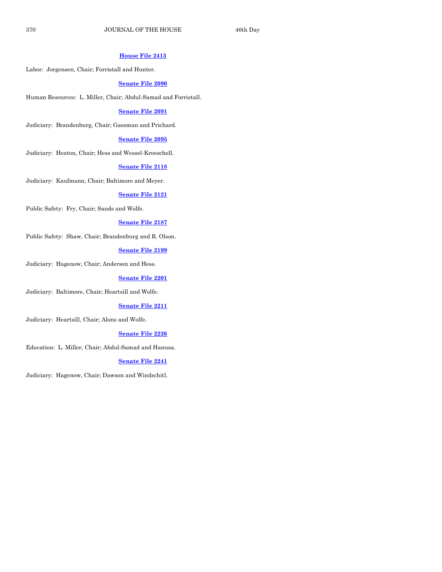# **[House File 2413](http://coolice.legis.iowa.gov/Cool-ICE/default.asp?Category=billinfo&Service=Billbook&frame=1&GA=85&hbill=HF2413)**

Labor: Jorgensen, Chair; Forristall and Hunter.

# **[Senate File 2090](http://coolice.legis.iowa.gov/Cool-ICE/default.asp?Category=billinfo&Service=Billbook&frame=1&GA=85&hbill=SF2090)**

Human Resources: L. Miller, Chair; Abdul-Samad and Forristall.

# **[Senate File 2091](http://coolice.legis.iowa.gov/Cool-ICE/default.asp?Category=billinfo&Service=Billbook&frame=1&GA=85&hbill=SF2091)**

Judiciary: Brandenburg, Chair; Gassman and Prichard.

# **[Senate File 2095](http://coolice.legis.iowa.gov/Cool-ICE/default.asp?Category=billinfo&Service=Billbook&frame=1&GA=85&hbill=SF2095)**

Judiciary: Heaton, Chair; Hess and Wessel-Kroeschell.

#### **[Senate File 2118](http://coolice.legis.iowa.gov/Cool-ICE/default.asp?Category=billinfo&Service=Billbook&frame=1&GA=85&hbill=SF2118)**

Judiciary: Kaufmann, Chair; Baltimore and Meyer.

#### **[Senate File 2121](http://coolice.legis.iowa.gov/Cool-ICE/default.asp?Category=billinfo&Service=Billbook&frame=1&GA=85&hbill=SF2121)**

Public Safety: Fry, Chair; Sands and Wolfe.

# **[Senate File 2187](http://coolice.legis.iowa.gov/Cool-ICE/default.asp?Category=billinfo&Service=Billbook&frame=1&GA=85&hbill=SF2187)**

Public Safety: Shaw, Chair; Brandenburg and R. Olson.

# **[Senate File 2199](http://coolice.legis.iowa.gov/Cool-ICE/default.asp?Category=billinfo&Service=Billbook&frame=1&GA=85&hbill=SF2199)**

Judiciary: Hagenow, Chair; Anderson and Hess.

# **[Senate File 2201](http://coolice.legis.iowa.gov/Cool-ICE/default.asp?Category=billinfo&Service=Billbook&frame=1&GA=85&hbill=SF2201)**

Judiciary: Baltimore, Chair; Heartsill and Wolfe.

# **[Senate File 2211](http://coolice.legis.iowa.gov/Cool-ICE/default.asp?Category=billinfo&Service=Billbook&frame=1&GA=85&hbill=SF2211)**

Judiciary: Heartsill, Chair; Alons and Wolfe.

# **[Senate File 2226](http://coolice.legis.iowa.gov/Cool-ICE/default.asp?Category=billinfo&Service=Billbook&frame=1&GA=85&hbill=SF2226)**

Education: L. Miller, Chair; Abdul-Samad and Hanusa.

# **[Senate File 2241](http://coolice.legis.iowa.gov/Cool-ICE/default.asp?Category=billinfo&Service=Billbook&frame=1&GA=85&hbill=SF2241)**

Judiciary: Hagenow, Chair; Dawson and Windschitl.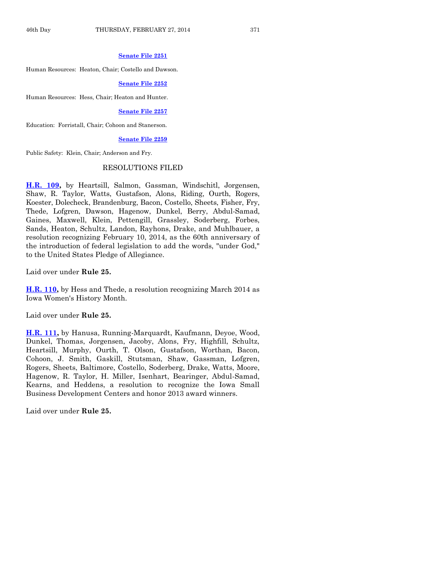#### **[Senate File 2251](http://coolice.legis.iowa.gov/Cool-ICE/default.asp?Category=billinfo&Service=Billbook&frame=1&GA=85&hbill=SF2251)**

Human Resources: Heaton, Chair; Costello and Dawson.

#### **[Senate File 2252](http://coolice.legis.iowa.gov/Cool-ICE/default.asp?Category=billinfo&Service=Billbook&frame=1&GA=85&hbill=SF2252)**

Human Resources: Hess, Chair; Heaton and Hunter.

# **[Senate File 2257](http://coolice.legis.iowa.gov/Cool-ICE/default.asp?Category=billinfo&Service=Billbook&frame=1&GA=85&hbill=SF2257)**

Education: Forristall, Chair; Cohoon and Stanerson.

#### **[Senate File 2259](http://coolice.legis.iowa.gov/Cool-ICE/default.asp?Category=billinfo&Service=Billbook&frame=1&GA=85&hbill=SF2259)**

Public Safety: Klein, Chair; Anderson and Fry.

#### RESOLUTIONS FILED

**[H.R. 109,](http://coolice.legis.iowa.gov/Cool-ICE/default.asp?Category=billinfo&Service=Billbook&frame=1&GA=85&hbill=HR109)** by Heartsill, Salmon, Gassman, Windschitl, Jorgensen, Shaw, R. Taylor, Watts, Gustafson, Alons, Riding, Ourth, Rogers, Koester, Dolecheck, Brandenburg, Bacon, Costello, Sheets, Fisher, Fry, Thede, Lofgren, Dawson, Hagenow, Dunkel, Berry, Abdul-Samad, Gaines, Maxwell, Klein, Pettengill, Grassley, Soderberg, Forbes, Sands, Heaton, Schultz, Landon, Rayhons, Drake, and Muhlbauer, a resolution recognizing February 10, 2014, as the 60th anniversary of the introduction of federal legislation to add the words, "under God," to the United States Pledge of Allegiance.

Laid over under **Rule 25.**

**[H.R. 110,](http://coolice.legis.iowa.gov/Cool-ICE/default.asp?Category=billinfo&Service=Billbook&frame=1&GA=85&hbill=HR110)** by Hess and Thede, a resolution recognizing March 2014 as Iowa Women's History Month.

Laid over under **Rule 25.**

**[H.R. 111,](http://coolice.legis.iowa.gov/Cool-ICE/default.asp?Category=billinfo&Service=Billbook&frame=1&GA=85&hbill=HR111)** by Hanusa, Running-Marquardt, Kaufmann, Deyoe, Wood, Dunkel, Thomas, Jorgensen, Jacoby, Alons, Fry, Highfill, Schultz, Heartsill, Murphy, Ourth, T. Olson, Gustafson, Worthan, Bacon, Cohoon, J. Smith, Gaskill, Stutsman, Shaw, Gassman, Lofgren, Rogers, Sheets, Baltimore, Costello, Soderberg, Drake, Watts, Moore, Hagenow, R. Taylor, H. Miller, Isenhart, Bearinger, Abdul-Samad, Kearns, and Heddens, a resolution to recognize the Iowa Small Business Development Centers and honor 2013 award winners.

Laid over under **Rule 25.**